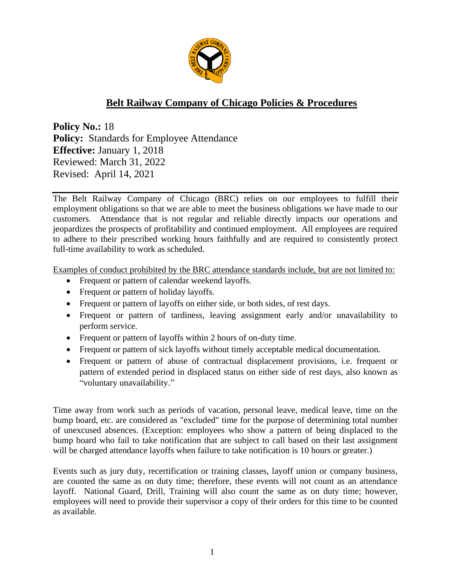

## **Belt Railway Company of Chicago Policies & Procedures**

**Policy No.:** 18 **Policy:** Standards for Employee Attendance **Effective:** January 1, 2018 Reviewed: March 31, 2022 Revised: April 14, 2021

The Belt Railway Company of Chicago (BRC) relies on our employees to fulfill their employment obligations so that we are able to meet the business obligations we have made to our customers. Attendance that is not regular and reliable directly impacts our operations and jeopardizes the prospects of profitability and continued employment. All employees are required to adhere to their prescribed working hours faithfully and are required to consistently protect full-time availability to work as scheduled.

Examples of conduct prohibited by the BRC attendance standards include, but are not limited to:

- Frequent or pattern of calendar weekend layoffs.
- Frequent or pattern of holiday layoffs.
- Frequent or pattern of layoffs on either side, or both sides, of rest days.
- Frequent or pattern of tardiness, leaving assignment early and/or unavailability to perform service.
- Frequent or pattern of layoffs within 2 hours of on-duty time.
- Frequent or pattern of sick layoffs without timely acceptable medical documentation.
- Frequent or pattern of abuse of contractual displacement provisions, i.e. frequent or pattern of extended period in displaced status on either side of rest days, also known as "voluntary unavailability."

Time away from work such as periods of vacation, personal leave, medical leave, time on the bump board, etc. are considered as "excluded" time for the purpose of determining total number of unexcused absences. (Exception: employees who show a pattern of being displaced to the bump board who fail to take notification that are subject to call based on their last assignment will be charged attendance layoffs when failure to take notification is 10 hours or greater.)

Events such as jury duty, recertification or training classes, layoff union or company business, are counted the same as on duty time; therefore, these events will not count as an attendance layoff. National Guard, Drill, Training will also count the same as on duty time; however, employees will need to provide their supervisor a copy of their orders for this time to be counted as available.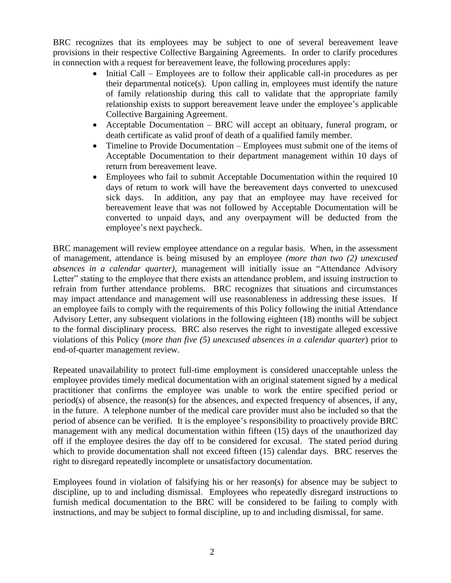BRC recognizes that its employees may be subject to one of several bereavement leave provisions in their respective Collective Bargaining Agreements. In order to clarify procedures in connection with a request for bereavement leave, the following procedures apply:

- Initial Call Employees are to follow their applicable call-in procedures as per their departmental notice(s). Upon calling in, employees must identify the nature of family relationship during this call to validate that the appropriate family relationship exists to support bereavement leave under the employee's applicable Collective Bargaining Agreement.
- Acceptable Documentation BRC will accept an obituary, funeral program, or death certificate as valid proof of death of a qualified family member.
- Timeline to Provide Documentation Employees must submit one of the items of Acceptable Documentation to their department management within 10 days of return from bereavement leave.
- Employees who fail to submit Acceptable Documentation within the required 10 days of return to work will have the bereavement days converted to unexcused sick days. In addition, any pay that an employee may have received for bereavement leave that was not followed by Acceptable Documentation will be converted to unpaid days, and any overpayment will be deducted from the employee's next paycheck.

BRC management will review employee attendance on a regular basis. When, in the assessment of management, attendance is being misused by an employee *(more than two (2) unexcused absences in a calendar quarter),* management will initially issue an "Attendance Advisory Letter" stating to the employee that there exists an attendance problem, and issuing instruction to refrain from further attendance problems. BRC recognizes that situations and circumstances may impact attendance and management will use reasonableness in addressing these issues. If an employee fails to comply with the requirements of this Policy following the initial Attendance Advisory Letter, any subsequent violations in the following eighteen (18) months will be subject to the formal disciplinary process. BRC also reserves the right to investigate alleged excessive violations of this Policy (*more than five (5) unexcused absences in a calendar quarter*) prior to end-of-quarter management review.

Repeated unavailability to protect full-time employment is considered unacceptable unless the employee provides timely medical documentation with an original statement signed by a medical practitioner that confirms the employee was unable to work the entire specified period or period(s) of absence, the reason(s) for the absences, and expected frequency of absences, if any, in the future. A telephone number of the medical care provider must also be included so that the period of absence can be verified. It is the employee's responsibility to proactively provide BRC management with any medical documentation within fifteen (15) days of the unauthorized day off if the employee desires the day off to be considered for excusal. The stated period during which to provide documentation shall not exceed fifteen (15) calendar days. BRC reserves the right to disregard repeatedly incomplete or unsatisfactory documentation.

Employees found in violation of falsifying his or her reason(s) for absence may be subject to discipline, up to and including dismissal. Employees who repeatedly disregard instructions to furnish medical documentation to the BRC will be considered to be failing to comply with instructions, and may be subject to formal discipline, up to and including dismissal, for same.